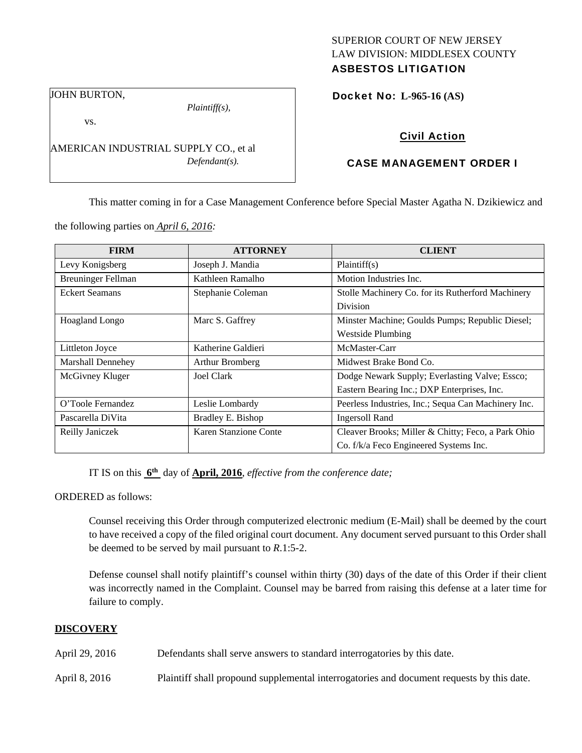# SUPERIOR COURT OF NEW JERSEY LAW DIVISION: MIDDLESEX COUNTY

## ASBESTOS LITIGATION

JOHN BURTON,

vs.

*Plaintiff(s),* 

AMERICAN INDUSTRIAL SUPPLY CO., et al *Defendant(s).* 

Docket No: **L-965-16 (AS)** 

## Civil Action

## CASE MANAGEMENT ORDER I

This matter coming in for a Case Management Conference before Special Master Agatha N. Dzikiewicz and

the following parties on *April 6, 2016:* 

| <b>FIRM</b>               | <b>ATTORNEY</b>       | <b>CLIENT</b>                                       |  |
|---------------------------|-----------------------|-----------------------------------------------------|--|
| Levy Konigsberg           | Joseph J. Mandia      | Plaintiff(s)                                        |  |
| <b>Breuninger Fellman</b> | Kathleen Ramalho      | Motion Industries Inc.                              |  |
| <b>Eckert Seamans</b>     | Stephanie Coleman     | Stolle Machinery Co. for its Rutherford Machinery   |  |
|                           |                       | <b>Division</b>                                     |  |
| Hoagland Longo            | Marc S. Gaffrey       | Minster Machine; Goulds Pumps; Republic Diesel;     |  |
|                           |                       | <b>Westside Plumbing</b>                            |  |
| Littleton Joyce           | Katherine Galdieri    | McMaster-Carr                                       |  |
| Marshall Dennehey         | Arthur Bromberg       | Midwest Brake Bond Co.                              |  |
| McGivney Kluger           | Joel Clark            | Dodge Newark Supply; Everlasting Valve; Essco;      |  |
|                           |                       | Eastern Bearing Inc.; DXP Enterprises, Inc.         |  |
| O'Toole Fernandez         | Leslie Lombardy       | Peerless Industries, Inc.; Sequa Can Machinery Inc. |  |
| Pascarella DiVita         | Bradley E. Bishop     | <b>Ingersoll Rand</b>                               |  |
| Reilly Janiczek           | Karen Stanzione Conte | Cleaver Brooks; Miller & Chitty; Feco, a Park Ohio  |  |
|                           |                       | Co. f/k/a Feco Engineered Systems Inc.              |  |

IT IS on this **6th** day of **April, 2016**, *effective from the conference date;*

ORDERED as follows:

Counsel receiving this Order through computerized electronic medium (E-Mail) shall be deemed by the court to have received a copy of the filed original court document. Any document served pursuant to this Order shall be deemed to be served by mail pursuant to *R*.1:5-2.

Defense counsel shall notify plaintiff's counsel within thirty (30) days of the date of this Order if their client was incorrectly named in the Complaint. Counsel may be barred from raising this defense at a later time for failure to comply.

### **DISCOVERY**

April 29, 2016 Defendants shall serve answers to standard interrogatories by this date.

April 8, 2016 Plaintiff shall propound supplemental interrogatories and document requests by this date.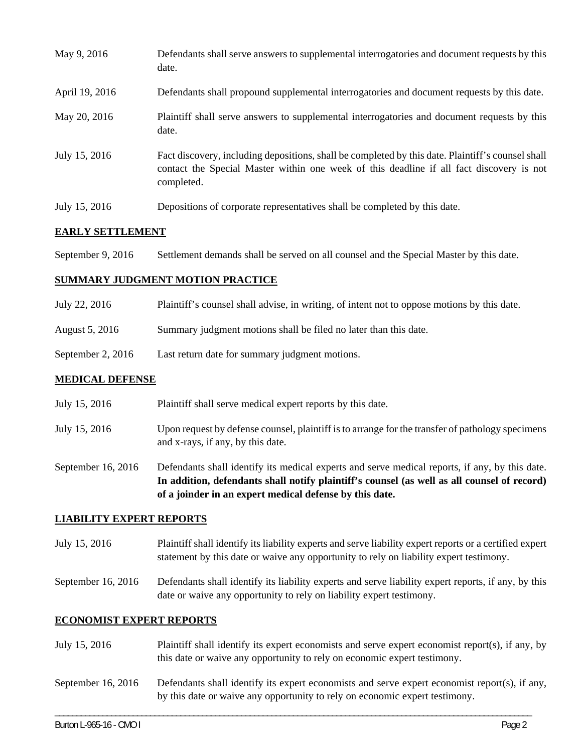| May 9, 2016    | Defendants shall serve answers to supplemental interrogatories and document requests by this<br>date.                                                                                                       |
|----------------|-------------------------------------------------------------------------------------------------------------------------------------------------------------------------------------------------------------|
| April 19, 2016 | Defendants shall propound supplemental interrogatories and document requests by this date.                                                                                                                  |
| May 20, 2016   | Plaintiff shall serve answers to supplemental interrogatories and document requests by this<br>date.                                                                                                        |
| July 15, 2016  | Fact discovery, including depositions, shall be completed by this date. Plaintiff's counsel shall<br>contact the Special Master within one week of this deadline if all fact discovery is not<br>completed. |
| July 15, 2016  | Depositions of corporate representatives shall be completed by this date.                                                                                                                                   |

#### **EARLY SETTLEMENT**

September 9, 2016 Settlement demands shall be served on all counsel and the Special Master by this date.

#### **SUMMARY JUDGMENT MOTION PRACTICE**

| July 22, 2016 | Plaintiff's counsel shall advise, in writing, of intent not to oppose motions by this date. |  |  |
|---------------|---------------------------------------------------------------------------------------------|--|--|
|               |                                                                                             |  |  |

- August 5, 2016 Summary judgment motions shall be filed no later than this date.
- September 2, 2016 Last return date for summary judgment motions.

#### **MEDICAL DEFENSE**

- July 15, 2016 Plaintiff shall serve medical expert reports by this date.
- July 15, 2016 Upon request by defense counsel, plaintiff is to arrange for the transfer of pathology specimens and x-rays, if any, by this date.

September 16, 2016 Defendants shall identify its medical experts and serve medical reports, if any, by this date. **In addition, defendants shall notify plaintiff's counsel (as well as all counsel of record) of a joinder in an expert medical defense by this date.** 

#### **LIABILITY EXPERT REPORTS**

July 15, 2016 Plaintiff shall identify its liability experts and serve liability expert reports or a certified expert statement by this date or waive any opportunity to rely on liability expert testimony.

September 16, 2016 Defendants shall identify its liability experts and serve liability expert reports, if any, by this date or waive any opportunity to rely on liability expert testimony.

#### **ECONOMIST EXPERT REPORTS**

- July 15, 2016 Plaintiff shall identify its expert economists and serve expert economist report(s), if any, by this date or waive any opportunity to rely on economic expert testimony.
- September 16, 2016 Defendants shall identify its expert economists and serve expert economist report(s), if any, by this date or waive any opportunity to rely on economic expert testimony.

\_\_\_\_\_\_\_\_\_\_\_\_\_\_\_\_\_\_\_\_\_\_\_\_\_\_\_\_\_\_\_\_\_\_\_\_\_\_\_\_\_\_\_\_\_\_\_\_\_\_\_\_\_\_\_\_\_\_\_\_\_\_\_\_\_\_\_\_\_\_\_\_\_\_\_\_\_\_\_\_\_\_\_\_\_\_\_\_\_\_\_\_\_\_\_\_\_\_\_\_\_\_\_\_\_\_\_\_\_\_